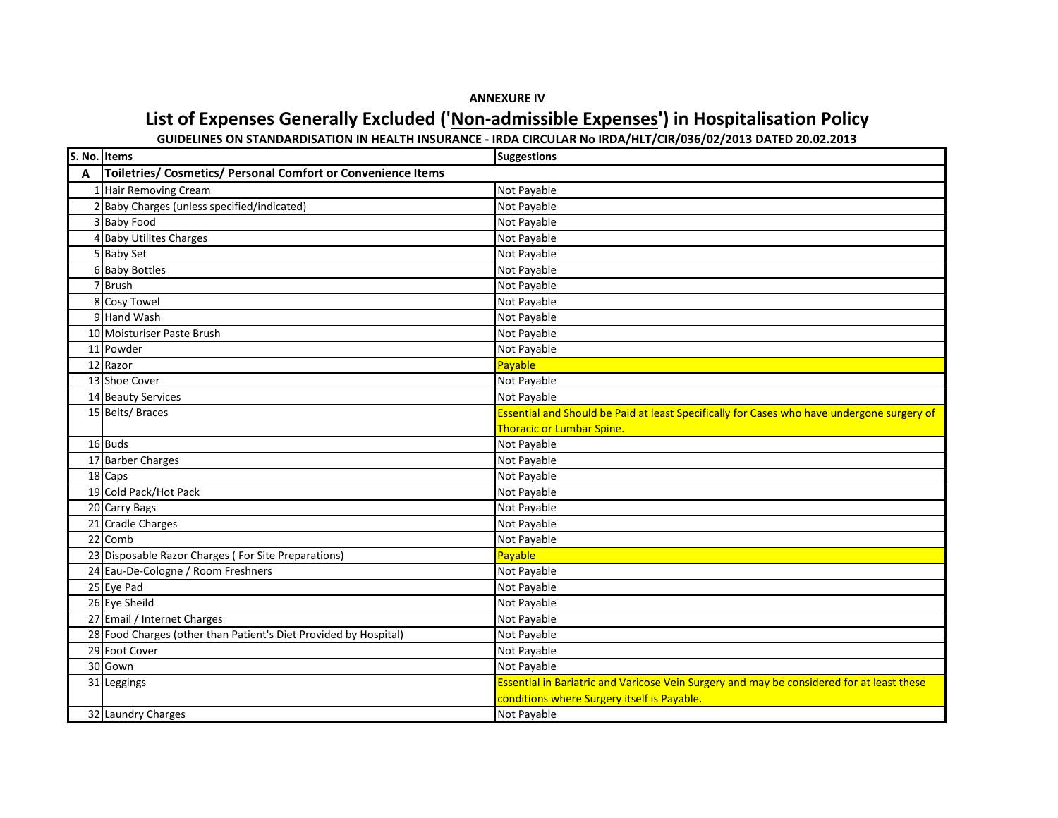## **ANNEXURE IV**

## **List of Expenses Generally Excluded ('Non-admissible Expenses') in Hospitalisation Policy**

**GUIDELINES ON STANDARDISATION IN HEALTH INSURANCE - IRDA CIRCULAR No IRDA/HLT/CIR/036/02/2013 DATED 20.02.2013**

| S. No. Items |                                                                  | <b>Suggestions</b>                                                                         |
|--------------|------------------------------------------------------------------|--------------------------------------------------------------------------------------------|
| A            | Toiletries/ Cosmetics/ Personal Comfort or Convenience Items     |                                                                                            |
|              | 1 Hair Removing Cream                                            | Not Payable                                                                                |
|              | Baby Charges (unless specified/indicated)                        | Not Payable                                                                                |
|              | <b>Baby Food</b>                                                 | Not Payable                                                                                |
|              | 4 Baby Utilites Charges                                          | Not Payable                                                                                |
|              | 5 Baby Set                                                       | Not Payable                                                                                |
|              | 6 Baby Bottles                                                   | Not Payable                                                                                |
|              | 7 Brush                                                          | Not Payable                                                                                |
|              | 8 Cosy Towel                                                     | Not Payable                                                                                |
|              | 9 Hand Wash                                                      | Not Payable                                                                                |
|              | 10 Moisturiser Paste Brush                                       | Not Payable                                                                                |
|              | 11 Powder                                                        | Not Payable                                                                                |
|              | 12 Razor                                                         | Payable                                                                                    |
|              | 13 Shoe Cover                                                    | Not Payable                                                                                |
|              | 14 Beauty Services                                               | Not Payable                                                                                |
|              | 15 Belts/ Braces                                                 | Essential and Should be Paid at least Specifically for Cases who have undergone surgery of |
|              |                                                                  | <b>Thoracic or Lumbar Spine.</b>                                                           |
|              | 16 Buds                                                          | Not Payable                                                                                |
|              | 17 Barber Charges                                                | Not Payable                                                                                |
|              | 18 Caps                                                          | Not Payable                                                                                |
|              | 19 Cold Pack/Hot Pack                                            | Not Payable                                                                                |
|              | 20 Carry Bags                                                    | Not Payable                                                                                |
|              | 21 Cradle Charges                                                | Not Payable                                                                                |
|              | 22 Comb                                                          | Not Payable                                                                                |
|              | 23 Disposable Razor Charges (For Site Preparations)              | Payable                                                                                    |
|              | 24 Eau-De-Cologne / Room Freshners                               | Not Payable                                                                                |
|              | 25 Eye Pad                                                       | Not Payable                                                                                |
|              | 26 Eye Sheild                                                    | Not Payable                                                                                |
|              | 27 Email / Internet Charges                                      | Not Payable                                                                                |
|              | 28 Food Charges (other than Patient's Diet Provided by Hospital) | Not Payable                                                                                |
|              | 29 Foot Cover                                                    | Not Payable                                                                                |
|              | 30 Gown                                                          | Not Payable                                                                                |
|              | 31 Leggings                                                      | Essential in Bariatric and Varicose Vein Surgery and may be considered for at least these  |
|              |                                                                  | conditions where Surgery itself is Payable.                                                |
|              | 32 Laundry Charges                                               | Not Payable                                                                                |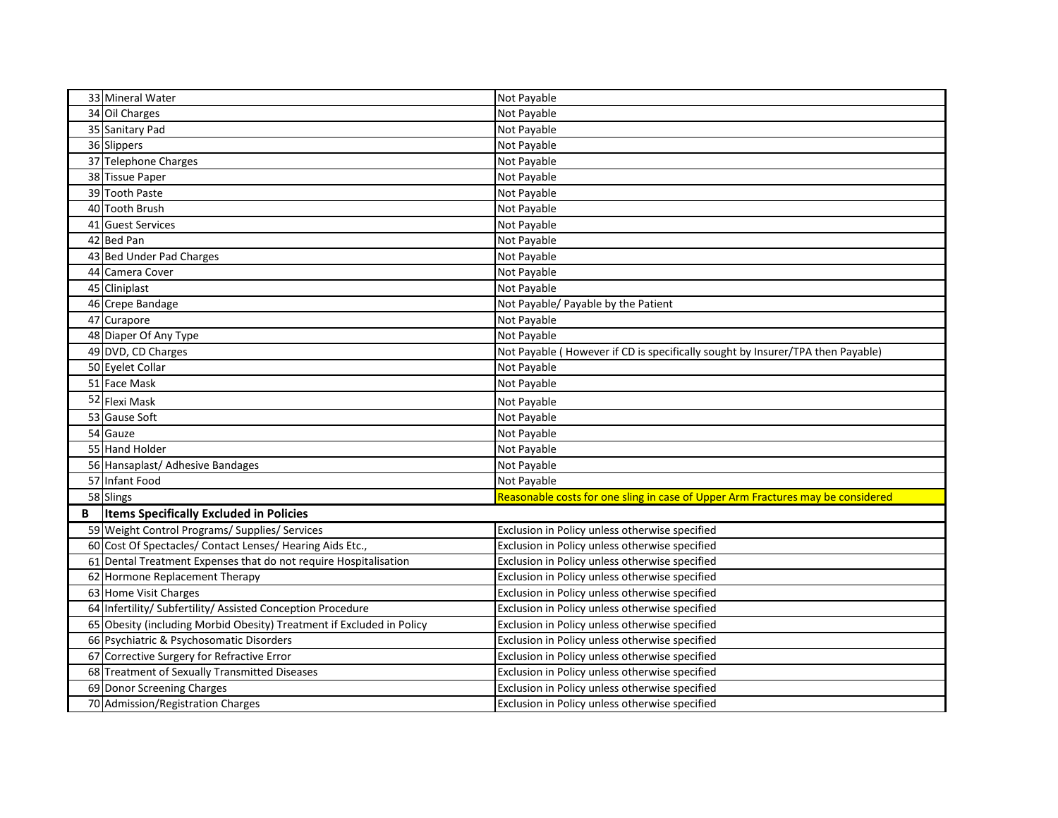|   | 33 Mineral Water                                                      | Not Payable                                                                     |
|---|-----------------------------------------------------------------------|---------------------------------------------------------------------------------|
|   | 34 Oil Charges                                                        | Not Payable                                                                     |
|   | 35 Sanitary Pad                                                       | Not Payable                                                                     |
|   | 36 Slippers                                                           | Not Payable                                                                     |
|   | 37 Telephone Charges                                                  | Not Payable                                                                     |
|   | 38 Tissue Paper                                                       | Not Payable                                                                     |
|   | 39 Tooth Paste                                                        | Not Payable                                                                     |
|   | 40 Tooth Brush                                                        | Not Payable                                                                     |
|   | 41 Guest Services                                                     | Not Payable                                                                     |
|   | 42 Bed Pan                                                            | Not Payable                                                                     |
|   | 43 Bed Under Pad Charges                                              | Not Payable                                                                     |
|   | 44 Camera Cover                                                       | Not Payable                                                                     |
|   | 45 Cliniplast                                                         | Not Payable                                                                     |
|   | 46 Crepe Bandage                                                      | Not Payable/ Payable by the Patient                                             |
|   | 47 Curapore                                                           | Not Payable                                                                     |
|   | 48 Diaper Of Any Type                                                 | Not Payable                                                                     |
|   | 49 DVD, CD Charges                                                    | Not Payable (However if CD is specifically sought by Insurer/TPA then Payable)  |
|   | 50 Eyelet Collar                                                      | Not Payable                                                                     |
|   | 51 Face Mask                                                          | Not Payable                                                                     |
|   | 52 Flexi Mask                                                         | Not Payable                                                                     |
|   | 53 Gause Soft                                                         | Not Payable                                                                     |
|   | 54 Gauze                                                              | Not Payable                                                                     |
|   | 55 Hand Holder                                                        | Not Payable                                                                     |
|   | 56 Hansaplast/ Adhesive Bandages                                      | Not Payable                                                                     |
|   | 57 Infant Food                                                        | Not Payable                                                                     |
|   | 58 Slings                                                             | Reasonable costs for one sling in case of Upper Arm Fractures may be considered |
| В | <b>Items Specifically Excluded in Policies</b>                        |                                                                                 |
|   | 59 Weight Control Programs/ Supplies/ Services                        | Exclusion in Policy unless otherwise specified                                  |
|   | 60 Cost Of Spectacles/ Contact Lenses/ Hearing Aids Etc.,             | Exclusion in Policy unless otherwise specified                                  |
|   | 61 Dental Treatment Expenses that do not require Hospitalisation      | Exclusion in Policy unless otherwise specified                                  |
|   | 62 Hormone Replacement Therapy                                        | Exclusion in Policy unless otherwise specified                                  |
|   | 63 Home Visit Charges                                                 | Exclusion in Policy unless otherwise specified                                  |
|   | 64 Infertility/ Subfertility/ Assisted Conception Procedure           | Exclusion in Policy unless otherwise specified                                  |
|   | 65 Obesity (including Morbid Obesity) Treatment if Excluded in Policy | Exclusion in Policy unless otherwise specified                                  |
|   | 66 Psychiatric & Psychosomatic Disorders                              | Exclusion in Policy unless otherwise specified                                  |
|   | 67 Corrective Surgery for Refractive Error                            | Exclusion in Policy unless otherwise specified                                  |
|   | 68 Treatment of Sexually Transmitted Diseases                         | Exclusion in Policy unless otherwise specified                                  |
|   | 69 Donor Screening Charges                                            | Exclusion in Policy unless otherwise specified                                  |
|   | 70 Admission/Registration Charges                                     | Exclusion in Policy unless otherwise specified                                  |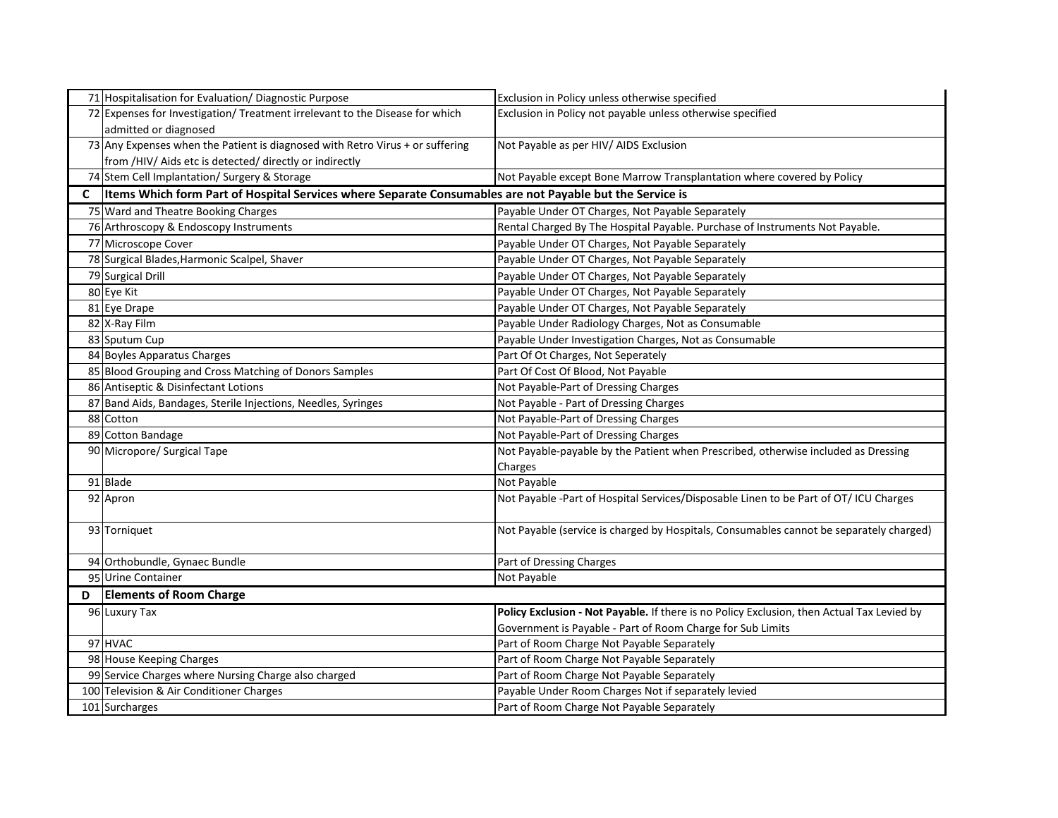|   | 71 Hospitalisation for Evaluation/ Diagnostic Purpose                                                       | Exclusion in Policy unless otherwise specified                                             |
|---|-------------------------------------------------------------------------------------------------------------|--------------------------------------------------------------------------------------------|
|   | 72 Expenses for Investigation/ Treatment irrelevant to the Disease for which                                | Exclusion in Policy not payable unless otherwise specified                                 |
|   | admitted or diagnosed                                                                                       |                                                                                            |
|   | 73 Any Expenses when the Patient is diagnosed with Retro Virus + or suffering                               | Not Payable as per HIV/ AIDS Exclusion                                                     |
|   | from /HIV/ Aids etc is detected/ directly or indirectly                                                     |                                                                                            |
|   | 74 Stem Cell Implantation/ Surgery & Storage                                                                | Not Payable except Bone Marrow Transplantation where covered by Policy                     |
|   | C  Items Which form Part of Hospital Services where Separate Consumables are not Payable but the Service is |                                                                                            |
|   | 75 Ward and Theatre Booking Charges                                                                         | Payable Under OT Charges, Not Payable Separately                                           |
|   | 76 Arthroscopy & Endoscopy Instruments                                                                      | Rental Charged By The Hospital Payable. Purchase of Instruments Not Payable.               |
|   | 77 Microscope Cover                                                                                         | Payable Under OT Charges, Not Payable Separately                                           |
|   | 78 Surgical Blades, Harmonic Scalpel, Shaver                                                                | Payable Under OT Charges, Not Payable Separately                                           |
|   | 79 Surgical Drill                                                                                           | Payable Under OT Charges, Not Payable Separately                                           |
|   | 80 Eye Kit                                                                                                  | Payable Under OT Charges, Not Payable Separately                                           |
|   | 81 Eye Drape                                                                                                | Payable Under OT Charges, Not Payable Separately                                           |
|   | 82 X-Ray Film                                                                                               | Payable Under Radiology Charges, Not as Consumable                                         |
|   | 83 Sputum Cup                                                                                               | Payable Under Investigation Charges, Not as Consumable                                     |
|   | 84 Boyles Apparatus Charges                                                                                 | Part Of Ot Charges, Not Seperately                                                         |
|   | 85 Blood Grouping and Cross Matching of Donors Samples                                                      | Part Of Cost Of Blood, Not Payable                                                         |
|   | 86 Antiseptic & Disinfectant Lotions                                                                        | Not Payable-Part of Dressing Charges                                                       |
|   | 87 Band Aids, Bandages, Sterile Injections, Needles, Syringes                                               | Not Payable - Part of Dressing Charges                                                     |
|   | 88 Cotton                                                                                                   | Not Payable-Part of Dressing Charges                                                       |
|   | 89 Cotton Bandage                                                                                           | Not Payable-Part of Dressing Charges                                                       |
|   | 90 Micropore/ Surgical Tape                                                                                 | Not Payable-payable by the Patient when Prescribed, otherwise included as Dressing         |
|   |                                                                                                             | Charges                                                                                    |
|   | 91 Blade                                                                                                    | Not Payable                                                                                |
|   | 92 Apron                                                                                                    | Not Payable -Part of Hospital Services/Disposable Linen to be Part of OT/ ICU Charges      |
|   | 93 Torniquet                                                                                                | Not Payable (service is charged by Hospitals, Consumables cannot be separately charged)    |
|   | 94 Orthobundle, Gynaec Bundle                                                                               | Part of Dressing Charges                                                                   |
|   | 95 Urine Container                                                                                          | Not Payable                                                                                |
| D | <b>Elements of Room Charge</b>                                                                              |                                                                                            |
|   | 96 Luxury Tax                                                                                               | Policy Exclusion - Not Payable. If there is no Policy Exclusion, then Actual Tax Levied by |
|   |                                                                                                             | Government is Payable - Part of Room Charge for Sub Limits                                 |
|   | 97 HVAC                                                                                                     | Part of Room Charge Not Payable Separately                                                 |
|   | 98 House Keeping Charges                                                                                    | Part of Room Charge Not Payable Separately                                                 |
|   | 99 Service Charges where Nursing Charge also charged                                                        | Part of Room Charge Not Payable Separately                                                 |
|   | 100 Television & Air Conditioner Charges                                                                    | Payable Under Room Charges Not if separately levied                                        |
|   | 101 Surcharges                                                                                              | Part of Room Charge Not Payable Separately                                                 |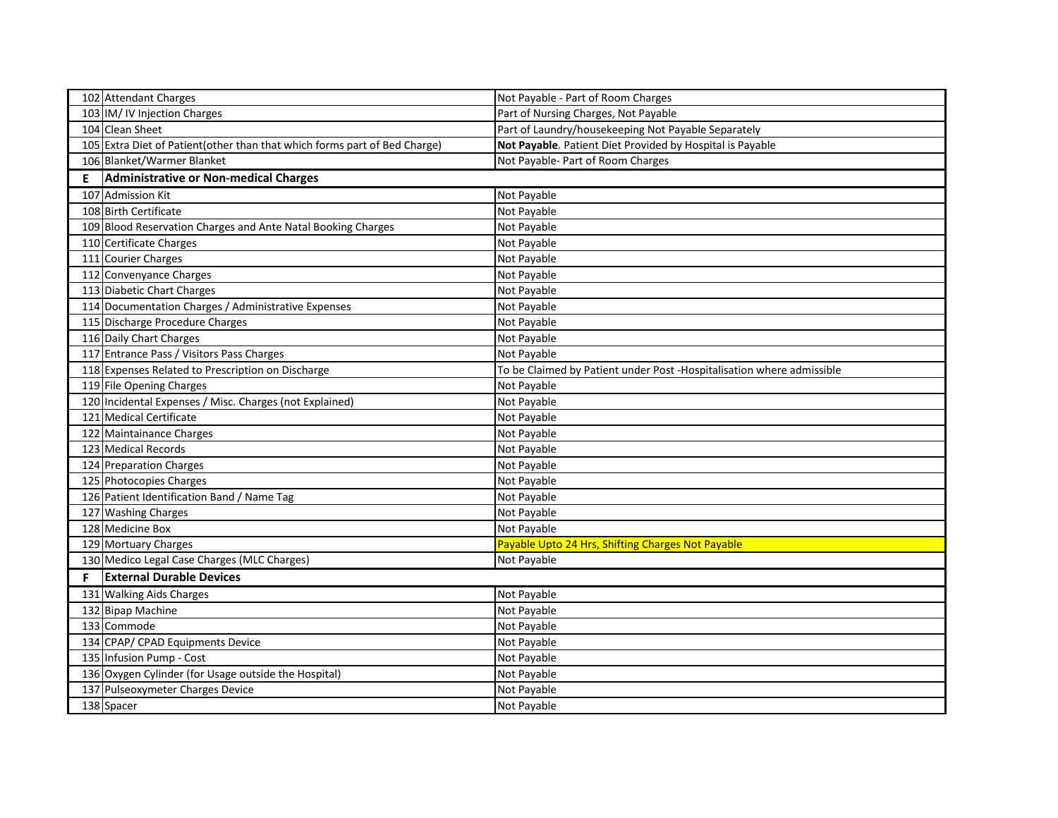|   | 102 Attendant Charges                                                      | Not Payable - Part of Room Charges                                    |
|---|----------------------------------------------------------------------------|-----------------------------------------------------------------------|
|   | 103 IM/ IV Injection Charges                                               | Part of Nursing Charges, Not Payable                                  |
|   | 104 Clean Sheet                                                            | Part of Laundry/housekeeping Not Payable Separately                   |
|   | 105 Extra Diet of Patient (other than that which forms part of Bed Charge) | Not Payable. Patient Diet Provided by Hospital is Payable             |
|   | 106 Blanket/Warmer Blanket                                                 | Not Payable- Part of Room Charges                                     |
| E | Administrative or Non-medical Charges                                      |                                                                       |
|   | 107 Admission Kit                                                          | Not Payable                                                           |
|   | 108 Birth Certificate                                                      | Not Payable                                                           |
|   | 109 Blood Reservation Charges and Ante Natal Booking Charges               | Not Payable                                                           |
|   | 110 Certificate Charges                                                    | Not Payable                                                           |
|   | 111 Courier Charges                                                        | Not Payable                                                           |
|   | 112 Convenyance Charges                                                    | Not Payable                                                           |
|   | 113 Diabetic Chart Charges                                                 | Not Payable                                                           |
|   | 114 Documentation Charges / Administrative Expenses                        | Not Payable                                                           |
|   | 115 Discharge Procedure Charges                                            | Not Payable                                                           |
|   | 116 Daily Chart Charges                                                    | Not Payable                                                           |
|   | 117 Entrance Pass / Visitors Pass Charges                                  | Not Payable                                                           |
|   | 118 Expenses Related to Prescription on Discharge                          | To be Claimed by Patient under Post -Hospitalisation where admissible |
|   | 119 File Opening Charges                                                   | Not Payable                                                           |
|   | 120 Incidental Expenses / Misc. Charges (not Explained)                    | Not Payable                                                           |
|   | 121 Medical Certificate                                                    | Not Payable                                                           |
|   | 122 Maintainance Charges                                                   | Not Payable                                                           |
|   | 123 Medical Records                                                        | Not Payable                                                           |
|   | 124 Preparation Charges                                                    | Not Payable                                                           |
|   | 125 Photocopies Charges                                                    | Not Payable                                                           |
|   | 126 Patient Identification Band / Name Tag                                 | Not Payable                                                           |
|   | 127 Washing Charges                                                        | Not Payable                                                           |
|   | 128 Medicine Box                                                           | Not Payable                                                           |
|   | 129 Mortuary Charges                                                       | Payable Upto 24 Hrs, Shifting Charges Not Payable                     |
|   | 130 Medico Legal Case Charges (MLC Charges)                                | Not Payable                                                           |
| F | <b>External Durable Devices</b>                                            |                                                                       |
|   | 131 Walking Aids Charges                                                   | Not Payable                                                           |
|   | 132 Bipap Machine                                                          | Not Payable                                                           |
|   | 133 Commode                                                                | Not Payable                                                           |
|   | 134 CPAP/ CPAD Equipments Device                                           | Not Payable                                                           |
|   | 135 Infusion Pump - Cost                                                   | Not Payable                                                           |
|   | 136 Oxygen Cylinder (for Usage outside the Hospital)                       | Not Payable                                                           |
|   | 137 Pulseoxymeter Charges Device                                           | Not Payable                                                           |
|   | 138 Spacer                                                                 | Not Payable                                                           |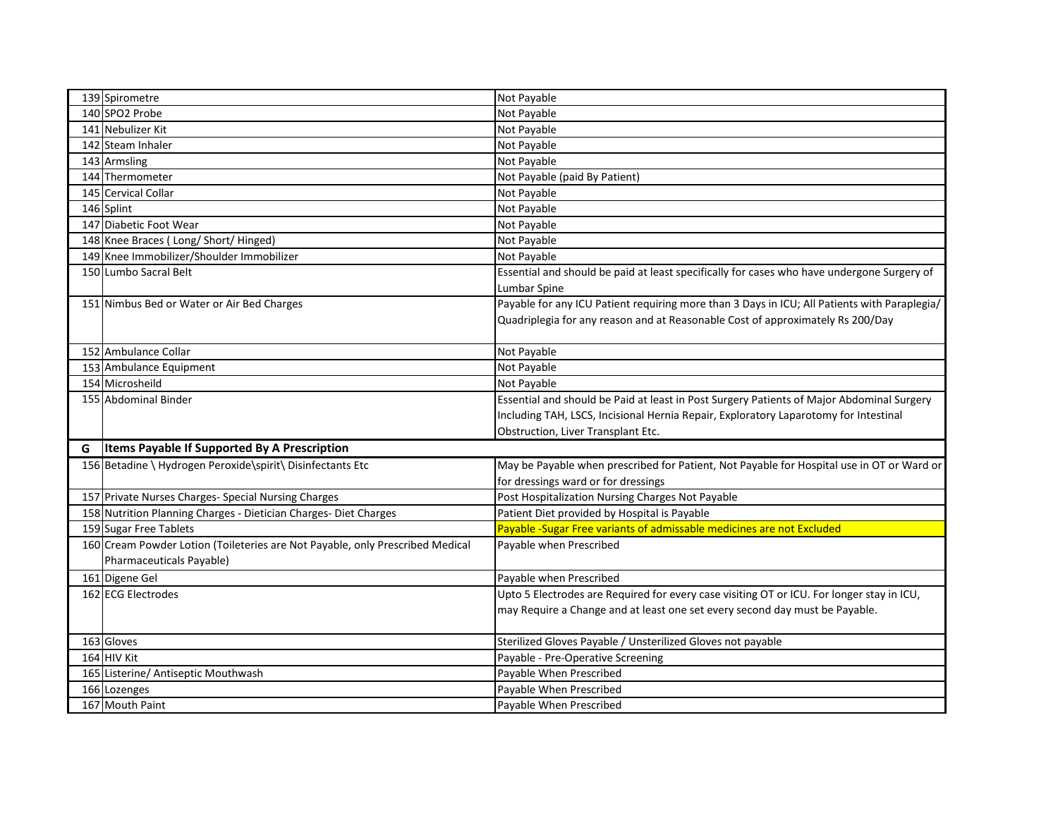|   | 139 Spirometre                                                                                            | Not Payable                                                                                                |
|---|-----------------------------------------------------------------------------------------------------------|------------------------------------------------------------------------------------------------------------|
|   | 140 SPO2 Probe                                                                                            | Not Payable                                                                                                |
|   | 141 Nebulizer Kit                                                                                         | Not Payable                                                                                                |
|   | 142 Steam Inhaler                                                                                         | Not Payable                                                                                                |
|   | 143 Armsling                                                                                              | Not Payable                                                                                                |
|   | 144 Thermometer                                                                                           | Not Payable (paid By Patient)                                                                              |
|   | 145 Cervical Collar                                                                                       | Not Payable                                                                                                |
|   | 146 Splint                                                                                                | Not Payable                                                                                                |
|   | 147 Diabetic Foot Wear                                                                                    | Not Payable                                                                                                |
|   | 148 Knee Braces (Long/ Short/ Hinged)                                                                     | Not Payable                                                                                                |
|   | 149 Knee Immobilizer/Shoulder Immobilizer                                                                 | Not Payable                                                                                                |
|   | 150 Lumbo Sacral Belt                                                                                     | Essential and should be paid at least specifically for cases who have undergone Surgery of<br>Lumbar Spine |
|   | 151 Nimbus Bed or Water or Air Bed Charges                                                                | Payable for any ICU Patient requiring more than 3 Days in ICU; All Patients with Paraplegia/               |
|   |                                                                                                           | Quadriplegia for any reason and at Reasonable Cost of approximately Rs 200/Day                             |
|   | 152 Ambulance Collar                                                                                      | Not Payable                                                                                                |
|   | 153 Ambulance Equipment                                                                                   | Not Payable                                                                                                |
|   | 154 Microsheild                                                                                           | Not Payable                                                                                                |
|   | 155 Abdominal Binder                                                                                      | Essential and should be Paid at least in Post Surgery Patients of Major Abdominal Surgery                  |
|   |                                                                                                           | Including TAH, LSCS, Incisional Hernia Repair, Exploratory Laparotomy for Intestinal                       |
|   |                                                                                                           | Obstruction, Liver Transplant Etc.                                                                         |
| G | <b>Items Payable If Supported By A Prescription</b>                                                       |                                                                                                            |
|   | 156 Betadine \ Hydrogen Peroxide\spirit\ Disinfectants Etc                                                | May be Payable when prescribed for Patient, Not Payable for Hospital use in OT or Ward or                  |
|   |                                                                                                           | for dressings ward or for dressings                                                                        |
|   | 157 Private Nurses Charges- Special Nursing Charges                                                       | Post Hospitalization Nursing Charges Not Payable                                                           |
|   | 158 Nutrition Planning Charges - Dietician Charges- Diet Charges                                          | Patient Diet provided by Hospital is Payable                                                               |
|   | 159 Sugar Free Tablets                                                                                    | Payable -Sugar Free variants of admissable medicines are not Excluded                                      |
|   | 160 Cream Powder Lotion (Toileteries are Not Payable, only Prescribed Medical<br>Pharmaceuticals Payable) | Payable when Prescribed                                                                                    |
|   | 161 Digene Gel                                                                                            | Payable when Prescribed                                                                                    |
|   | 162 ECG Electrodes                                                                                        | Upto 5 Electrodes are Required for every case visiting OT or ICU. For longer stay in ICU,                  |
|   |                                                                                                           | may Require a Change and at least one set every second day must be Payable.                                |
|   | 163 Gloves                                                                                                | Sterilized Gloves Payable / Unsterilized Gloves not payable                                                |
|   | 164 HIV Kit                                                                                               | Payable - Pre-Operative Screening                                                                          |
|   | 165 Listerine/ Antiseptic Mouthwash                                                                       | Payable When Prescribed                                                                                    |
|   | 166 Lozenges                                                                                              | Payable When Prescribed                                                                                    |
|   | 167 Mouth Paint                                                                                           | Payable When Prescribed                                                                                    |